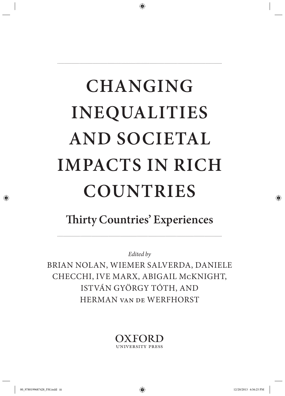# **CHANGING INEQUALITIES AND SOCIETAL IMPACTS IN RICH COUNTRIES**

**Thirty Countries' Experiences** 

 *Edited by* 

BRIAN NOLAN, WIEMER SALVERDA, DANIELE CHECCHI, IVE MARX, ABIGAIL MCKNIGHT, ISTVÁN GYÖRGY TÓTH, AND HERMAN van de WERFHORST

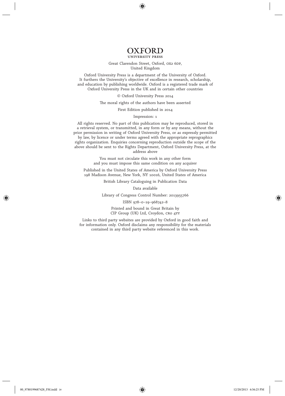# **OXFORD**<br>UNIVERSITY PRESS

Great Clarendon Street, Oxford, OX2 6DP, United Kingdom

 Oxford University Press is a department of the University of Oxford. It furthers the University's objective of excellence in research, scholarship, and education by publishing worldwide. Oxford is a registered trade mark of Oxford University Press in the UK and in certain other countries

© Oxford University Press 2014

The moral rights of the authors have been asserted

First Edition published in 2014

#### Impression: 1

 All rights reserved. No part of this publication may be reproduced, stored in a retrieval system, or transmitted, in any form or by any means, without the prior permission in writing of Oxford University Press, or as expressly permitted by law, by licence or under terms agreed with the appropriate reprographics rights organization. Enquiries concerning reproduction outside the scope of the above should be sent to the Rights Department, Oxford University Press, at the address above

> You must not circulate this work in any other form and you must impose this same condition on any acquirer

 Published in the United States of America by Oxford University Press 198 Madison Avenue, New York, NY 10016, United States of America

British Library Cataloguing in Publication Data

Data available

Library of Congress Control Number: 2013955766

ISBN 978–0–19–968742–8

 Printed and bound in Great Britain by CIP Group (UK) Ltd, Croydon, CRO 4YY

 Links to third party websites are provided by Oxford in good faith and for information only. Oxford disclaims any responsibility for the materials contained in any third party website referenced in this work.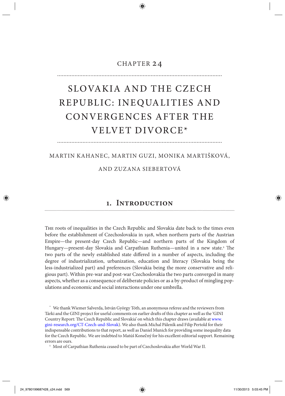#### CHAPTER 24

# SLOVAKIA AND THE CZECH [REPUBLIC: INEQUALITIES AND](#page--1-0)  C ONVERGENCES AFTER THE VELVET DIVORCE\*

#### MARTIN KAHANEC , MARTIN GUZI , MONIKA MARTIŠKOVÁ ,

#### AND ZUZANA SIEBERTOVÁ

### **1. Introduction**

 The roots of inequalities in the Czech Republic and Slovakia date back to the times even before the establishment of Czechoslovakia in 1918, when northern parts of the Austrian Empire—the present-day Czech Republic—and northern parts of the Kingdom of Hungary—present-day Slovakia and Carpathian Ruthenia—united in a new state.<sup>2</sup> The two parts of the newly established state differed in a number of aspects, including the degree of industrialization, urbanization, education and literacy (Slovakia being the less-industrialized part) and preferences (Slovakia being the more conservative and religious part). Within pre-war and post-war Czechoslovakia the two parts converged in many aspects, whether as a consequence of deliberate policies or as a by-product of mingling populations and economic and social interactions under one umbrella.

\* We thank Wiemer Salverda, István György Tóth, an anonymous referee and the reviewers from Tárki and the GINI project for useful comments on earlier drafts of this chapter as well as the 'GINI Country Report: The Czech Republic and Slovakia' on which this chapter draws (available at [www.](http://www.gini-research.org/CT-Czech-and-Slovak) [gini-research.org/CT-Czech-and-Slovak](http://www.gini-research.org/CT-Czech-and-Slovak)). We also thank Michal Páleník and Filip Pertold for their indispensable contributions to that report, as well as Daniel Munich for providing some inequality data for the Czech Republic. We are indebted to Matúš Konečný for his excellent editorial support. Remaining errors are ours. 1

<sup>1</sup> Most of Carpathian Ruthenia ceased to be part of Czechoslovakia after World War II.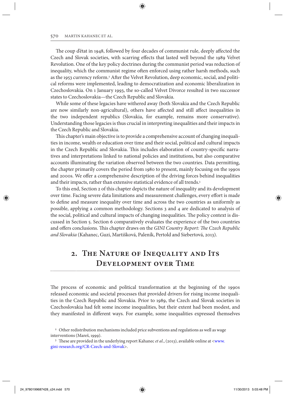The coup d'état in 1948, followed by four decades of communist rule, deeply affected the Czech and Slovak societies, with scarring effects that lasted well beyond the 1989 Velvet Revolution. One of the key policy doctrines during the communist period was reduction of inequality, which the communist regime often enforced using rather harsh methods, such as the 1953 currency reform.<sup>2</sup> After the Velvet Revolution, deep economic, social, and political reforms were implemented, leading to democratization and economic liberalization in Czechoslovakia. On 1 January 1993, the so-called Velvet Divorce resulted in two successor states to Czechoslovakia—the Czech Republic and Slovakia.

 While some of these legacies have withered away (both Slovakia and the Czech Republic are now similarly non-agricultural), others have affected and still affect inequalities in the two independent republics (Slovakia, for example, remains more conservative). Understanding those legacies is thus crucial in interpreting inequalities and their impacts in the Czech Republic and Slovakia.

This chapter's main objective is to provide a comprehensive account of changing inequalities in income, wealth or education over time and their social, political and cultural impacts in the Czech Republic and Slovakia. This includes elaboration of country-specific narratives and interpretations linked to national policies and institutions, but also comparative accounts illuminating the variation observed between the two countries. Data permitting, the chapter primarily covers the period from 1980 to present, mainly focusing on the 1990s and 2000s. We offer a comprehensive description of the driving forces behind inequalities and their impacts, rather than extensive statistical evidence of all trends.<sup>3</sup>

 To this end, Section 2 of this chapter depicts the nature of inequality and its development over time. Facing severe data limitations and measurement challenges, every effort is made to define and measure inequality over time and across the two countries as uniformly as possible, applying a common methodology. Sections 3 and 4 are dedicated to analysis of the social, political and cultural impacts of changing inequalities. The policy context is discussed in Section 5. Section 6 comparatively evaluates the experience of the two countries and offers conclusions. This chapter draws on the *GINI Country Report: The Czech Republic and Slovakia* (Kahanec, Guzi, Martišková, Paleník, Pertold and Siebertová, 2013).

# **2. The Nature of Inequality and Its Development over Time**

The process of economic and political transformation at the beginning of the 1990s released economic and societal processes that provided drivers for rising income inequalities in the Czech Republic and Slovakia. Prior to 1989, the Czech and Slovak societies in Czechoslovakia had felt some income inequalities, but their extent had been modest, and they manifested in different ways. For example, some inequalities expressed themselves

<sup>&</sup>lt;sup>2</sup> Other redistribution mechanisms included price subventions and regulations as well as wage interventions (Mareš, 1999). 3

<sup>&</sup>lt;sup>3</sup> These are provided in the underlying report Kahanec *et al.*, (2013), available online at <www. gini-research.org/CR-Czech-and-Slovak>.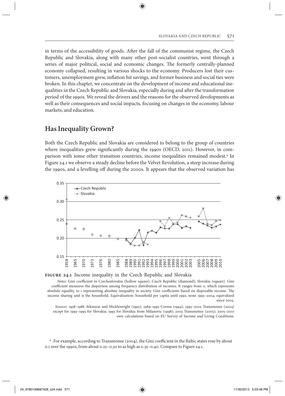in terms of the accessibility of goods. After the fall of the communist regime, the Czech Republic and Slovakia, along with many other post-socialist countries, went through a series of major political, social and economic changes. The formerly centrally-planned economy collapsed, resulting in various shocks to the economy. Producers lost their customers, unemployment grew, inflation hit savings, and former business and social ties were broken. In this chapter, we concentrate on the development of income and educational inequalities in the Czech Republic and Slovakia, especially during and after the transformation period of the 1990s. We reveal the drivers and the reasons for the observed developments as well as their consequences and social impacts, focusing on changes in the economy, labour markets, and education.

#### **Has Inequality Grown?**

 Both the Czech Republic and Slovakia are considered to belong to the group of countries where inequalities grew significantly during the 1990s (OECD, 2011). However, in comparison with some other transition countries, income inequalities remained modest. 4 In Figure 24.1 we observe a steady decline before the Velvet Revolution, a steep increase during the 1990s, and a levelling off during the 2000s. It appears that the observed variation has



#### **Figure 24.1** Income inequality in the Czech Republic and Slovakia

*Notes*: Gini coefficient in Czechoslovakia (hollow square), Czech Republic (diamond), Slovakia (square). Gini coefficient measures the dispersion among frequency distribution of incomes. It ranges from 0, which represents absolute equality, to 1 representing absolute inequality in society. Gini coefficients based on disposable income. The income sharing unit is the household. Equivalization: household per capita until 1992; none 1993–2004; equivalized since 2005.

*Sources*: 1958–1988 Atkinson and Micklewright (1992); 1989–1992 Cornia (1994); 1993–2002 Transmonee (2004) except for 1993–1995 for Slovakia; 1993 for Slovakia from Milanovic (1998); 2003 Transmonee (2005); 2005–2010 own calculations based on EU Survey of Income and Living Conditions.

<sup>4</sup> For example, according to Transmonee (2004), the Gini coefficient in the Baltic states rose by about 0.1 over the 1990s, from about 0.25–0.30 to as high as 0.35–0.40. Compare to Figure 24.1.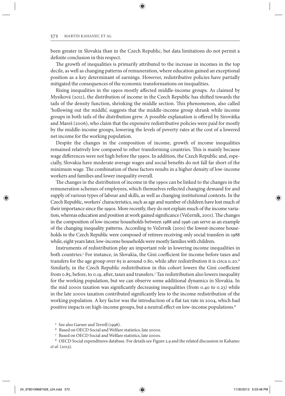been greater in Slovakia than in the Czech Republic, but data limitations do not permit a definite conclusion in this respect.

The growth of inequalities is primarily attributed to the increase in incomes in the top decile, as well as changing patterns of remuneration, where education gained an exceptional position as a key determinant of earnings. However, redistributive policies have partially mitigated the consequences of the economic transformations on inequalities.

Rising inequalities in the 1990s mostly affected middle-income groups. As claimed by Mysíková (2011), the distribution of income in the Czech Republic has shifted towards the tails of the density function, shrinking the middle section. This phenomenon, also called 'hollowing out the middle', suggests that the middle-income group shrank while income groups in both tails of the distribution grew. A possible explanation is offered by Sirovátka and Mareš (2006), who claim that the expensive redistributive policies were paid for mostly by the middle-income groups, lowering the levels of poverty rates at the cost of a lowered net income for the working population.

 Despite the changes in the composition of income, growth of income inequalities remained relatively low compared to other transforming countries. This is mainly because wage differences were not high before the 1990s. In addition, the Czech Republic and, especially, Slovakia have moderate average wages and social benefits do not fall far short of the minimum wage. The combination of these factors results in a higher density of low-income workers and families and lower inequality overall.

The changes in the distribution of income in the 1990s can be linked to the changes in the remuneration schemes of employees, which themselves reflected changing demand for and supply of various types of labour and skills, as well as changing institutional contexts. In the Czech Republic, workers' characteristics, such as age and number of children have lost much of their importance since the 1990s. More recently, they do not explain much of the income variation, whereas education and position at work gained significance (Večerník, 2001). The changes in the composition of low-income households between 1988 and 1996 can serve as an example of the changing inequality patterns. According to Večerník (2001) the lowest-income households in the Czech Republic were composed of retirees receiving only social transfers in 1988 while, eight years later, low-income households were mostly families with children.

 Instruments of redistribution play an important role in lowering income inequalities in both countries.<sup>5</sup> For instance, in Slovakia, the Gini coefficient for income before taxes and transfers for the age group over 65 is around 0.80, while after redistribution it is circa 0.20. $\degree$ Similarly, in the Czech Republic redistribution in this cohort lowers the Gini coefficient from 0.85, before, to 0.19, after, taxes and transfers.<sup>7</sup> Tax redistribution also lowers inequality for the working population, but we can observe some additional dynamics in Slovakia. In the mid 2000s taxation was significantly decreasing inequalities (from 0.40 to 0.23) while in the late 2000s taxation contributed significantly less to the income redistribution of the working population. A key factor was the introduction of a flat tax rate in 2004, which had positive impacts on high-income groups, but a neutral effect on low-income populations.<sup>8</sup>

5 See also Garner and Terrell (1998).

6 Based on OECD Social and Welfare statistics, late 2000s.

7 Based on OECD Social and Welfare statistics, late 2000s.

8 OECD Social expenditures database. For details see Figure 2.9 and the related discussion in Kahanec *et al* . (2013).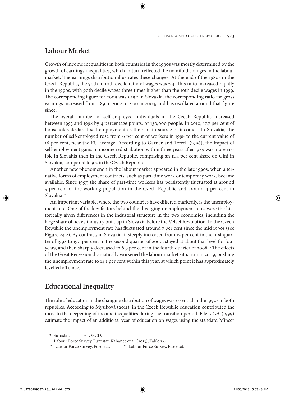#### **Labour Market**

 Growth of income inequalities in both countries in the 1990s was mostly determined by the growth of earnings inequalities, which in turn reflected the manifold changes in the labour market. The earnings distribution illustrates these changes. At the end of the 1980s in the Czech Republic, the 90th to 10th decile ratio of wages was 2.4. This ratio increased rapidly in the 1990s, with 90th decile wages three times higher than the 10th decile wages in 1999. The corresponding figure for 2009 was 3.19.<sup>9</sup> In Slovakia, the corresponding ratio for gross earnings increased from 1.89 in 2002 to 2.00 in 2004, and has oscillated around that figure since.<sup>10</sup>

The overall number of self-employed individuals in the Czech Republic increased between 1993 and 1998 by 4 percentage points, or 130,000 people. In 2010, 17.7 per cent of households declared self-employment as their main source of income.<sup>11</sup> In Slovakia, the number of self-employed rose from 6 per cent of workers in 1998 to the current value of 16 per cent, near the EU average. According to Garner and Terrell (1998), the impact of self-employment gains in income redistribution within three years after 1989 was more visible in Slovakia then in the Czech Republic, comprising an 11.4 per cent share on Gini in Slovakia, compared to 9.2 in the Czech Republic.

 Another new phenomenon in the labour market appeared in the late 1990s, when alternative forms of employment contracts, such as part-time work or temporary work, became available. Since 1997, the share of part-time workers has persistently fluctuated at around 5 per cent of the working population in the Czech Republic and around 4 per cent in Slovakia.<sup>12</sup>

An important variable, where the two countries have differed markedly, is the unemployment rate. One of the key factors behind the diverging unemployment rates were the historically given differences in the industrial structure in the two economies, including the large share of heavy industry built up in Slovakia before the Velvet Revolution. In the Czech Republic the unemployment rate has fluctuated around  $7$  per cent since the mid 1990s (see Figure 24.2). By contrast, in Slovakia, it steeply increased from 12 per cent in the first quarter of 1998 to 19.1 per cent in the second quarter of 2000, stayed at about that level for four years, and then sharply decreased to 8.9 per cent in the fourth quarter of 2008.<sup>13</sup> The effects of the Great Recession dramatically worsened the labour market situation in 2009, pushing the unemployment rate to 14.1 per cent within this year, at which point it has approximately levelled off since.

#### **Educational Inequality**

The role of education in the changing distribution of wages was essential in the 1990s in both republics. According to Mysíková (2011), in the Czech Republic education contributed the most to the deepening of income inequalities during the transition period. Filer *et al.* (1999) estimate the impact of an additional year of education on wages using the standard Mincer

<sup>&</sup>lt;sup>9</sup> Eurostat.

<sup>&</sup>lt;sup>9</sup> Eurostat. <sup>10</sup> OECD.<br><sup>11</sup> Labour Force Survey, Eurostat; Kahanec et al. (2013), Table 2.6.

<sup>&</sup>lt;sup>12</sup> Labour Force Survey, Eurostat. <sup>13</sup> Labour Force Survey, Eurostat.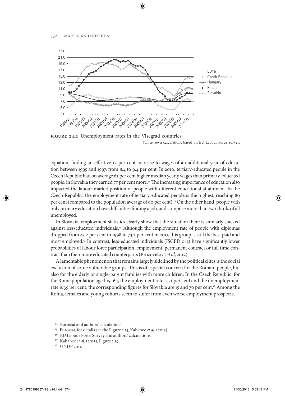

**Figure 24.2** Unemployment rates in the Visegrad countries *Source:* own calculations based on EU Labour Force Survey.

equation, finding an effective 12 per cent increase to wages of an additional year of education between 1995 and 1997, from 8.4 to 9.4 per cent. In 2010, tertiary-educated people in the Czech Republic had on average 62 per cent higher median yearly wages than primary-educated people; in Slovakia they earned 77 per cent more.<sup>14</sup> The increasing importance of education also impacted the labour market position of people with different educational attainment. In the Czech Republic, the employment rate of tertiary-educated people is the highest, reaching 80 per cent (compared to the population average of 60 per cent). 15 On the other hand, people with only primary education have difficulties finding a job, and compose more than two thirds of all unemployed.

 In Slovakia, employment statistics clearly show that the situation there is similarly stacked against less-educated individuals.<sup>16</sup> Although the employment rate of people with diplomas dropped from 85.2 per cent in 1998 to 73.2 per cent in 2011, this group is still the best paid and most employed.<sup>17</sup> In contrast, less-educated individuals (ISCED 0-2) have significantly lower probabilities of labour force participation, employment, permanent contract or full time contract than their more educated counterparts (Brožovičová et al, 2012).

 A lamentable phenomenon that remains largely sidelined by the political elites is the social exclusion of some vulnerable groups. This is of especial concern for the Romani people, but also for the elderly or single-parent families with more children. In the Czech Republic, for the Roma population aged 15–64, the employment rate is 31 per cent and the unemployment rate is 39 per cent; the corresponding figures for Slovakia are 15 and 70 per cent.<sup>18</sup> Among the Roma, females and young cohorts seem to suffer from even worse employment prospects.

- 14 Eurostat and authors' calculations.
- <sup>15</sup> Eurostat, for details see the Figure 2.15, Kahanec *et al.* (2013).<br><sup>16</sup> EU Labour Force Survey and authors' calculations.
- 
- <sup>17</sup> Kahanec *et al.* (2013), Figure 2.19.<br><sup>18</sup> UNDP 2011.
-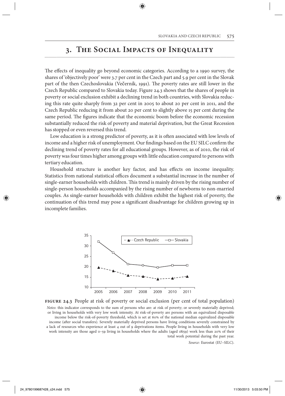# **3. The Social Impacts of Inequality**

The effects of inequality go beyond economic categories. According to a 1990 survey, the shares of 'objectively poor' were 3.7 per cent in the Czech part and 5.9 per cent in the Slovak part of the then Czechoslovakia (Večerník, 1991). The poverty rates are still lower in the Czech Republic compared to Slovakia today. Figure 24.3 shows that the shares of people in poverty or social exclusion exhibit a declining trend in both countries, with Slovakia reducing this rate quite sharply from 32 per cent in 2005 to about 20 per cent in 2011, and the Czech Republic reducing it from about 20 per cent to slightly above 15 per cent during the same period. The figures indicate that the economic boom before the economic recession substantially reduced the risk of poverty and material deprivation, but the Great Recession has stopped or even reversed this trend.

Low education is a strong predictor of poverty, as it is often associated with low levels of income and a higher risk of unemployment. Our findings based on the EU SILC confirm the declining trend of poverty rates for all educational groups. However, as of 2010, the risk of poverty was four times higher among groups with little education compared to persons with tertiary education.

Household structure is another key factor, and has effects on income inequality. Statistics from national statistical offices document a substantial increase in the number of single-earner households with children. This trend is mainly driven by the rising number of single-person households accompanied by the rising number of newborns to non-married couples. As single-earner households with children exhibit the highest risk of poverty, the continuation of this trend may pose a significant disadvantage for children growing up in incomplete families.





*Source*: Eurostat (EU–SILC).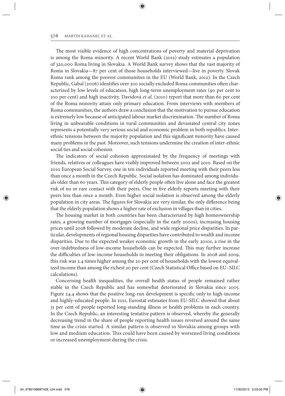The most visible evidence of high concentrations of poverty and material deprivation is among the Roma minority. A recent World Bank (2012) study estimates a population of 320,000 Roma living in Slovakia. A World Bank survey shows that the vast majority of Roma in Slovakia—87 per cent of those households interviewed—live in poverty. Slovak Roma rank among the poorest communities in the EU (World Bank, 2012). In the Czech Republic, Gabal (2006) identifies over 300 socially excluded Roma communities often characterized by low levels of education, high long-term unemployment rates (90 per cent to 100 per cent) and high inactivity. Davidová *et al.* (2010) report that more than 60 per cent of the Roma minority attain only primary education. From interviews with members of Roma communities, the authors draw a conclusion that the motivation to pursue education is extremely low because of anticipated labour market discrimination. The number of Roma living in unbearable conditions in rural communities and devastated central city zones represents a potentially very serious social and economic problem in both republics. Interethnic tensions between the majority population and this significant minority have caused many problems in the past. Moreover, such tensions undermine the creation of inter-ethnic social ties and social cohesion.

The indicators of social cohesion approximated by the frequency of meetings with friends, relatives or colleagues have visibly improved between 2002 and 2010. Based on the 2010 European Social Survey, one in ten individuals reported meeting with their peers less than once a month in the Czech Republic. Social isolation has dominated among individuals older than 60 years. This category of elderly people often live alone and face the greatest risk of no or rare contact with their peers. One in five elderly reports meeting with their peers less than once a month. Even higher social isolation is observed among the elderly population in city areas. The figures for Slovakia are very similar, the only difference being that the elderly population shows a higher rate of exclusion in villages than in cities.

The housing market in both countries has been characterized by high homeownership rates, a growing number of mortgages (especially in the early 2000s), increasing housing prices until 2008 followed by moderate decline, and wide regional price disparities. In particular, developments of regional housing disparities have contributed to wealth and income disparities. Due to the expected weaker economic growth in the early 2010s, a rise in the over-indebtedness of low-income households can be expected. This may further increase the difficulties of low-income households in meeting their obligations. In 2008 and 2009, this risk was 2.4 times higher among the 20 per cent of households with the lowest equivalized income than among the richest 20 per cent (Czech Statistical Office based on EU–SILC calculations).

 Concerning health inequalities, the overall health status of people remained rather stable in the Czech Republic and has somewhat deteriorated in Slovakia since 2005. Figure 24.4 shows that the positive long-run development is specific only to high-income and highly-educated people. In 2011, Eurostat estimates from EU-SILC showed that about 31 per cent of people reported long-standing illness or health problems in each country. In the Czech Republic, an interesting tentative pattern is observed, whereby the generally decreasing trend in the share of people reporting health issues reversed around the same time as the crisis started. A similar pattern is observed in Slovakia among groups with low and medium education. This could have been caused by worsened living conditions or increased unemployment during the crisis.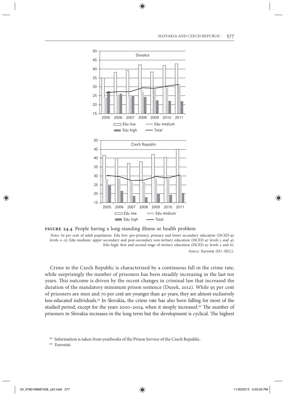

**Figure 24.4** People having a long-standing illness or health problem

*Notes*: In per cent of adult population. Edu low: pre-primary, primary and lower secondary education (ISCED-97 levels 0–2); Edu medium: upper secondary and post-secondary non-tertiary education (ISCED-97 levels 3 and 4); Edu high: first and second stage of tertiary education (ISCED-97 levels 5 and 6). *Source:* Eurostat (EU–SILC).

 Crime in the Czech Republic is characterized by a continuous fall in the crime rate, while surprisingly the number of prisoners has been steadily increasing in the last ten years. This outcome is driven by the recent changes in criminal law that increased the duration of the mandatory minimum prison sentence (Dusek, 2012). While 95 per cent of prisoners are men and 70 per cent are younger than 40 years, they are almost exclusively less-educated individuals.<sup>19</sup> In Slovakia, the crime rate has also been falling for most of the studied period, except for the years 2000-2004, when it steeply increased.<sup>20</sup> The number of prisoners in Slovakia increases in the long term but the development is cyclical. The highest

<sup>20</sup> Eurostat.

<sup>&</sup>lt;sup>19</sup> Information is taken from yearbooks of the Prison Service of the Czech Republic.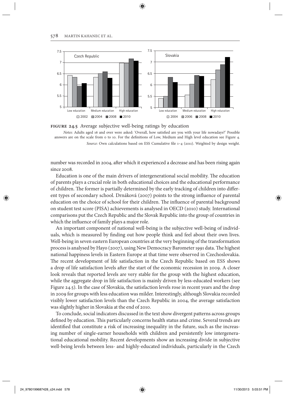



number was recorded in 2004, after which it experienced a decrease and has been rising again since 2008.

Education is one of the main drivers of intergenerational social mobility. The education of parents plays a crucial role in both educational choices and the educational performance of children. The former is partially determined by the early tracking of children into different types of secondary school. Drnáková (2007) points to the strong influence of parental education on the choice of school for their children. The influence of parental background on student test score (PISA) achievements is analysed in OECD (2010) study. International comparisons put the Czech Republic and the Slovak Republic into the group of countries in which the influence of family plays a major role.

 An important component of national well-being is the subjective well-being of individuals, which is measured by finding out how people think and feel about their own lives. Well-being in seven eastern European countries at the very beginning of the transformation process is analysed by Hayo (2007), using New Democracy Barometer 1991 data. The highest national happiness levels in Eastern Europe at that time were observed in Czechoslovakia. The recent development of life satisfaction in the Czech Republic based on ESS shows a drop of life satisfaction levels after the start of the economic recession in 2009. A closer look reveals that reported levels are very stable for the group with the highest education, while the aggregate drop in life satisfaction is mainly driven by less-educated workers (see Figure 24.5). In the case of Slovakia, the satisfaction levels rose in recent years and the drop in 2009 for groups with less education was milder. Interestingly, although Slovakia recorded visibly lower satisfaction levels than the Czech Republic in 2004, the average satisfaction was slightly higher in Slovakia at the end of 2010.

 To conclude, social indicators discussed in the text show divergent patterns across groups defined by education. This particularly concerns health status and crime. Several trends are identified that constitute a risk of increasing inequality in the future, such as the increasing number of single-earner households with children and persistently low intergenerational educational mobility. Recent developments show an increasing divide in subjective well-being levels between less- and highly-educated individuals, particularly in the Czech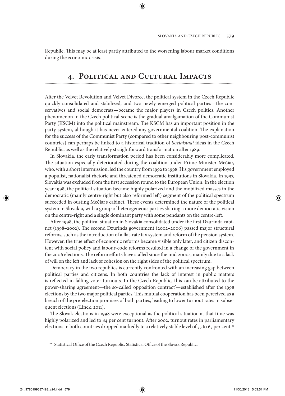Republic. This may be at least partly attributed to the worsening labour market conditions during the economic crisis.

## **4. Political and Cultural Impacts**

After the Velvet Revolution and Velvet Divorce, the political system in the Czech Republic quickly consolidated and stabilized, and two newly emerged political parties—the conservatives and social democrats—became the major players in Czech politics. Another phenomenon in the Czech political scene is the gradual amalgamation of the Communist Party (KSCM) into the political mainstream. The KSCM has an important position in the party system, although it has never entered any governmental coalition. The explanation for the success of the Communist Party (compared to other neighbouring post-communist countries) can perhaps be linked to a historical tradition of *Sozialstaat* ideas in the Czech Republic, as well as the relatively straightforward transformation after 1989.

 In Slovakia, the early transformation period has been considerably more complicated. The situation especially deteriorated during the coalition under Prime Minister Mečiar, who, with a short intermission, led the country from 1992 to 1998. His government employed a populist, nationalist rhetoric and threatened democratic institutions in Slovakia. In 1997, Slovakia was excluded from the first accession round to the European Union. In the election year 1998, the political situation became highly polarized and the mobilized masses in the democratic (mainly centre-right but also reformed left) segment of the political spectrum succeeded in ousting Mečiar's cabinet. These events determined the nature of the political system in Slovakia, with a group of heterogeneous parties sharing a more democratic vision on the centre-right and a single dominant party with some pendants on the centre-left.

After 1998, the political situation in Slovakia consolidated under the first Dzurinda cabinet (1998–2002). The second Dzurinda government (2002–2006) passed major structural reforms, such as the introduction of a flat-rate tax system and reform of the pension system. However, the true effect of economic reforms became visible only later, and citizen discontent with social policy and labour-code reforms resulted in a change of the government in the 2006 elections. The reform efforts have stalled since the mid 2000s, mainly due to a lack of will on the left and lack of cohesion on the right sides of the political spectrum.

 Democracy in the two republics is currently confronted with an increasing gap between political parties and citizens. In both countries the lack of interest in public matters is reflected in falling voter turnouts. In the Czech Republic, this can be attributed to the power-sharing agreement—the so-called 'opposition contract'—established after the 1998 elections by the two major political parties. This mutual cooperation has been perceived as a breach of the pre-election promises of both parties, leading to lower turnout rates in subsequent elections (Linek, 2011).

The Slovak elections in 1998 were exceptional as the political situation at that time was highly polarized and led to 84 per cent turnout. After 2002, turnout rates in parliamentary elections in both countries dropped markedly to a relatively stable level of 55 to 65 per cent.<sup>21</sup>

<sup>&</sup>lt;sup>21</sup> Statistical Office of the Czech Republic, Statistical Office of the Slovak Republic.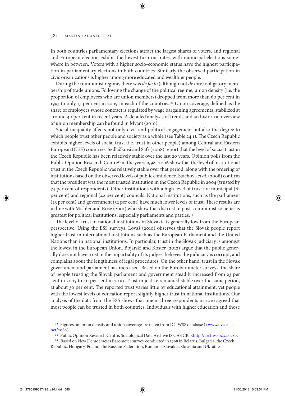In both countries parliamentary elections attract the largest shares of voters, and regional and European election exhibit the lowest turn-out rates, with municipal elections somewhere in between. Voters with a higher socio-economic status have the highest participation in parliamentary elections in both countries. Similarly the observed participation in civic organizations is higher among more educated and wealthier people.

 During the communist regime, there was *de facto* (although not *de iure* ) obligatory membership of trade unions. Following the change of the political regime, union density (i.e. the proportion of employees who are union members) dropped from more than 60 per cent in 1993 to only 17 per cent in 2009 in each of the countries.<sup>22</sup> Union coverage, defined as the share of employees whose contract is regulated by wage bargaining agreements, stabilized at around 40 per cent in recent years. A detailed analysis of trends and an historical overview of union membership can be found in Myant (2010).

Social inequality affects not only civic and political engagement but also the degree to which people trust other people and society as a whole (see Table 24.1). The Czech Republic exhibits higher levels of social trust (i.e. trust in other people) among Central and Eastern European (CEE) countries. Sedláčková and Šafr (2008) report that the level of social trust in the Czech Republic has been relatively stable over the last 20 years. Opinion polls from the Public Opinion Research Centre<sup>23</sup> in the years 1998–2006 show that the level of institutional trust in the Czech Republic was relatively stable over that period, along with the ordering of institutions based on the observed levels of public confidence. Stachova *et al.* (2008) confirm that the president was the most trusted institution in the Czech Republic in 2004 (trusted by 74 per cent of respondents). Other institutions with a high level of trust are municipal (61 per cent) and regional (42 per cent) councils. National institutions, such as the parliament  $(23$  per cent) and government  $(32$  per cent) have much lower levels of trust. These results are in line with Mishler and Rose (2001) who show that distrust in post-communist societies is greatest for political institutions, especially parliaments and parties. 24

The level of trust in national institutions in Slovakia is generally low from the European perspective. Using the ESS surveys, Lovaš (2010) observes that the Slovak people report higher trust in international institutions such as the European Parliament and the United Nations than in national institutions. In particular, trust in the Slovak judiciary is amongst the lowest in the European Union. Bojarski and Koster (2012) argue that the public generally does not have trust in the impartiality of its judges, believes the judiciary is corrupt, and complains about the lengthiness of legal procedures. On the other hand, trust in the Slovak government and parliament has increased. Based on the Eurobarometer surveys, the share of people trusting the Slovak parliament and government steadily increased from 23 per cent in 2005 to 40 per cent in 2010. Trust in justice remained stable over the same period, at about 30 per cent. The reported trust varies little by educational attainment, yet people with the lowest levels of education report slightly higher trust in national institutions. Our analysis of the data from the ESS shows that one in three respondents in 2010 agreed that most people can be trusted in both countries. Individuals with higher education and those

<sup>&</sup>lt;sup>22</sup> Figures on union density and union coverage are taken from ICTWSS database (<www.uva-aias. net/208>).<br><sup>23</sup> Public Opinion Research Centre, Sociological Data Archive IS CAS CR, <http://archiv.soc.cas.cz>.<br><sup>24</sup> Based on New Democracies Barometer survey conducted in 1998 in Belarus, Bulgaria, the Czech

Republic, Hungary, Poland, the Russian Federation, Romania, Slovakia, Slovenia and Ukraine.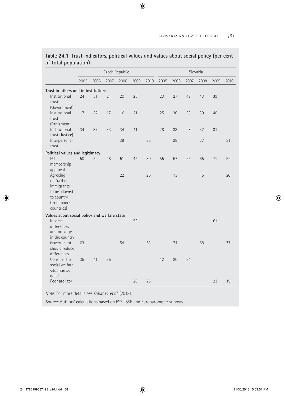|                                                                                                   | Czech Republic |      |      |      |      |      | Slovakia |      |      |      |      |      |
|---------------------------------------------------------------------------------------------------|----------------|------|------|------|------|------|----------|------|------|------|------|------|
|                                                                                                   | 2005           | 2006 | 2007 | 2008 | 2009 | 2010 | 2005     | 2006 | 2007 | 2008 | 2009 | 2010 |
| Trust in others and in institutions                                                               |                |      |      |      |      |      |          |      |      |      |      |      |
| Institutional<br>trust<br>(Government)                                                            | 24             | 31   | 21   | 20   | 28   |      | 23       | 27   | 42   | 43   | 39   |      |
| Institutional<br>trust<br>(Parliament)                                                            | 17             | 22   | 17   | 16   | 21   |      | 25       | 30   | 38   | 39   | 40   |      |
| Institutional<br>trust (Justice)                                                                  | 34             | 37   | 33   | 34   | 41   |      | 28       | 33   | 28   | 32   | 31   |      |
| Interpersonal<br>trust                                                                            |                |      |      | 38   |      | 35   |          | 28   |      | 27   |      | 31   |
| Political values and legitimacy                                                                   |                |      |      |      |      |      |          |      |      |      |      |      |
| EU<br>membership<br>approval                                                                      | 50             | 52   | 48   | 51   | 45   | 30   | 55       | 57   | 65   | 65   | 71   | 59   |
| Agreeing<br>no further<br>immigrants<br>to be allowed<br>to country<br>(from poorer<br>countries) |                |      |      | 22   |      | 26   |          | 13   |      | 15   |      | 20   |
| Values about social policy and welfare state                                                      |                |      |      |      |      |      |          |      |      |      |      |      |
| Income<br>differences<br>are too large<br>in the country                                          |                |      |      |      | 53   |      |          |      |      |      | 61   |      |
| Government<br>should reduce<br>differences                                                        | 63             |      |      | 54   |      | 63   |          | 74   |      | 68   |      | 77   |
| Consider the<br>social welfare<br>situation as<br>good                                            | 35             | 41   | 35   |      |      |      | 12       | 20   | 24   |      |      |      |
| Poor are lazy                                                                                     |                |      |      |      | 28   | 25   |          |      |      |      | 23   | 19   |

#### **Table 24.1 Trust indicators, political values and values about social policy (per cent of total population)**

*Note*: For more details see Kahanec *et al*. (2013).

*S ource*: Authors' calculations based on ESS, ISSP and Eurobarometer surveys.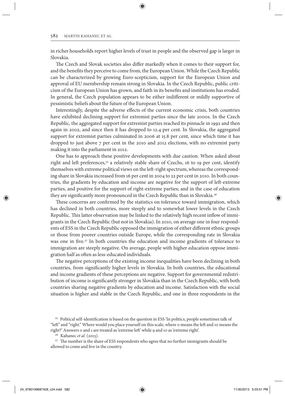in richer households report higher levels of trust in people and the observed gap is larger in Slovakia.

The Czech and Slovak societies also differ markedly when it comes to their support for, and the benefits they perceive to come from, the European Union. While the Czech Republic can be characterized by growing Euro-scepticism, support for the European Union and approval of EU membership remain strong in Slovakia. In the Czech Republic, public criticism of the European Union has grown, and faith in its benefits and institutions has eroded. In general, the Czech population appears to be either indifferent or mildly supportive of pessimistic beliefs about the future of the European Union.

Interestingly, despite the adverse effects of the current economic crisis, both countries have exhibited declining support for extremist parties since the late 2000s. In the Czech Republic, the aggregated support for extremist parties reached its pinnacle in 1992 and then again in 2002, and since then it has dropped to 12.4 per cent. In Slovakia, the aggregated support for extremist parties culminated in 2006 at 15.8 per cent, since which time it has dropped to just above 7 per cent in the 2010 and 2012 elections, with no extremist party making it into the parliament in 2012.

 One has to approach these positive developments with due caution. When asked about right and left preferences,<sup>25</sup> a relatively stable share of Czechs, 16 to 19 per cent, identify themselves with extreme political views on the left -right spectrum, whereas the corresponding share in Slovakia increased from 16 per cent in 2004 to 22 per cent in 2010. In both countries, the gradients by education and income are negative for the support of left -extreme parties, and positive for the support of right-extreme parties; and in the case of education they are significantly more pronounced in the Czech Republic than in Slovakia.<sup>26</sup>

These concerns are confirmed by the statistics on tolerance toward immigration, which has declined in both countries, more steeply and to somewhat lower levels in the Czech Republic. This latter observation may be linked to the relatively high recent inflow of immigrants in the Czech Republic (but not in Slovakia). In 2010, on average one in four respondents of ESS in the Czech Republic opposed the immigration of either different ethnic groups or those from poorer countries outside Europe, while the corresponding rate in Slovakia was one in five.<sup>27</sup> In both countries the education and income gradients of tolerance to immigration are steeply negative. On average, people with higher education oppose immigration half as often as less-educated individuals.

The negative perceptions of the existing income inequalities have been declining in both countries, from significantly higher levels in Slovakia. In both countries, the educational and income gradients of these perceptions are negative. Support for governmental redistribution of income is significantly stronger in Slovakia than in the Czech Republic, with both countries sharing negative gradients by education and income. Satisfaction with the social situation is higher and stable in the Czech Republic, and one in three respondents in the

<sup>25</sup> Political self-identification is based on the question in ESS 'In politics, people sometimes talk of "left" and "right." Where would you place yourself on this scale, where 0 means the left and 10 means the right?' Answers 0 and 1 are treated as 'extreme left' while 9 and 10 as 'extreme right'.<br><sup>26</sup> Kahanec *et al.* (2013).<br><sup>27</sup> The number is the share of ESS respondents who agree that no further immigrants should be

allowed to come and live in the country.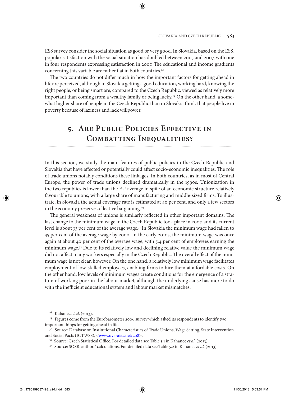ESS survey consider the social situation as good or very good. In Slovakia, based on the ESS, popular satisfaction with the social situation has doubled between 2005 and 2007, with one in four respondents expressing satisfaction in 2007. The educational and income gradients concerning this variable are rather flat in both countries.<sup>28</sup>

The two countries do not differ much in how the important factors for getting ahead in life are perceived, although in Slovakia getting a good education, working hard, knowing the right people, or being smart are, compared to the Czech Republic, viewed as relatively more important than coming from a wealthy family or being lucky. 29 On the other hand, a somewhat higher share of people in the Czech Republic than in Slovakia think that people live in poverty because of laziness and lack willpower.

# **5. Are Public Policies Effective in Combatting Inequalities?**

 In this section, we study the main features of public policies in the Czech Republic and Slovakia that have affected or potentially could affect socio-economic inequalities. The role of trade unions notably conditions these linkages. In both countries, as in most of Central Europe, the power of trade unions declined dramatically in the 1990s. Unionization in the two republics is lower than the EU average in spite of an economic structure relatively favourable to unions, with a large share of manufacturing and middle-sized firms. To illustrate, in Slovakia the actual coverage rate is estimated at 40 per cent, and only a few sectors in the economy preserve collective bargaining.<sup>30</sup>

The general weakness of unions is similarly reflected in other important domains. The last change to the minimum wage in the Czech Republic took place in 2007, and its current level is about 33 per cent of the average wage. 31 In Slovakia the minimum wage had fallen to 35 per cent of the average wage by 2000. In the early 2010s, the minimum wage was once again at about 40 per cent of the average wage, with 5.4 per cent of employees earning the minimum wage. 32 Due to its relatively low and declining relative value the minimum wage did not affect many workers especially in the Czech Republic. The overall effect of the minimum wage is not clear, however. On the one hand, a relatively low minimum wage facilitates employment of low-skilled employees, enabling firms to hire them at affordable costs. On the other hand, low levels of minimum wages create conditions for the emergence of a stratum of working poor in the labour market, although the underlying cause has more to do with the inefficient educational system and labour market mismatches.

<sup>28</sup> Kahanec *et al*. (2013).<br><sup>29</sup> Figures come from the Eurobarometer 2006 survey which asked its respondents to identify two important things for getting ahead in life.<br><sup>30</sup> Source: Database on Institutional Characteristics of Trade Unions, Wage Setting, State Intervention

and Social Pacts (ICTWSS), <www.uva-aias.net/208>.<br><sup>31</sup> Source: Czech Statistical Office. For detailed data see Table 5.1 in Kahanec *et al*. (2013).<br><sup>32</sup> Source: SOSR, authors' calculations. For detailed data see Table 5.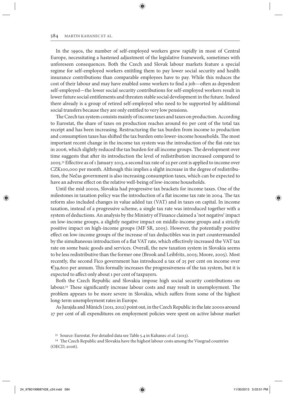In the 1990s, the number of self-employed workers grew rapidly in most of Central Europe, necessitating a hastened adjustment of the legislative framework, sometimes with unforeseen consequences. Both the Czech and Slovak labour markets feature a special regime for self-employed workers entitling them to pay lower social security and health insurance contributions than comparable employees have to pay. While this reduces the cost of their labour and may have enabled some workers to find a job—often as dependent self-employed—the lower social security contributions for self-employed workers result in lower future social entitlements and threaten stable social development in the future. Indeed there already is a group of retired self-employed who need to be supported by additional social transfers because they are only entitled to very low pensions.

The Czech tax system consists mainly of income taxes and taxes on production. According to Eurostat, the share of taxes on production reaches around 60 per cent of the total tax receipt and has been increasing. Restructuring the tax burden from income to production and consumption taxes has shifted the tax burden onto lower-income households. The most important recent change in the income tax system was the introduction of the flat-rate tax in 2006, which slightly reduced the tax burden for all income groups. The development over time suggests that after its introduction the level of redistribution increased compared to 2005.<sup>33</sup> Effective as of 1 January 2013, a second tax rate of 22 per cent is applied to income over CZK100,000 per month. Although this implies a slight increase in the degree of redistribution, the Nečas government is also increasing consumption taxes, which can be expected to have an adverse effect on the relative well-being of low-income households.

 Until the mid 2000s, Slovakia had progressive tax brackets for income taxes. One of the milestones in taxation policy was the introduction of a flat income tax rate in 2004. The tax reform also included changes in value added tax (VAT) and in taxes on capital. In income taxation, instead of a progressive scheme, a single tax rate was introduced together with a system of deductions. An analysis by the Ministry of Finance claimed a 'not negative' impact on low-income groups, a slightly negative impact on middle-income groups and a strictly positive impact on high-income groups (MF SR, 2005). However, the potentially positive effect on low-income groups of the increase of tax deductibles was in part countermanded by the simultaneous introduction of a flat VAT rate, which effectively increased the VAT tax rate on some basic goods and services. Overall, the new taxation system in Slovakia seems to be less redistributive than the former one (Brook and Leibfritz, 2005; Moore, 2005). Most recently, the second Fico government has introduced a tax of 25 per cent on income over  $\epsilon$ 39,600 per annum. This formally increases the progressiveness of the tax system, but it is expected to affect only about 1 per cent of taxpayers.

 Both the Czech Republic and Slovakia impose high social security contributions on labour.<sup>34</sup> These significantly increase labour costs and may result in unemployment. The problem appears to be more severe in Slovakia, which suffers from some of the highest long-term unemployment rates in Europe.

 As Jurajda and Münich (2011, 2012) point out, in the Czech Republic in the late 2000s around 27 per cent of all expenditures on employment policies were spent on active labour market

<sup>&</sup>lt;sup>33</sup> Source: Eurostat. For detailed data see Table 5.4 in Kahanec *et al*. (2013).<br><sup>34</sup> The Czech Republic and Slovakia have the highest labour costs among the Visegrad countries (OECD, 2006).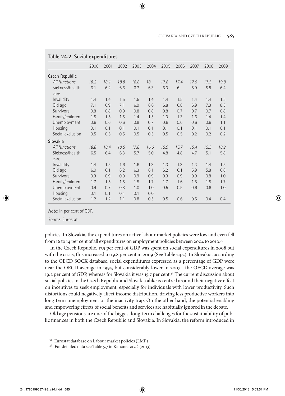|                         | Table 24.2 Social expenditures |      |      |      |      |      |      |      |      |      |  |
|-------------------------|--------------------------------|------|------|------|------|------|------|------|------|------|--|
|                         | 2000                           | 2001 | 2002 | 2003 | 2004 | 2005 | 2006 | 2007 | 2008 | 2009 |  |
| Czech Republic          |                                |      |      |      |      |      |      |      |      |      |  |
| All functions           | 18.2                           | 18.1 | 18.8 | 18.8 | 18   | 17.8 | 17.4 | 17.5 | 17.5 | 19.8 |  |
| Sickness/health<br>care | 6.1                            | 6.2  | 6.6  | 6.7  | 6.3  | 6.3  | 6    | 5.9  | 5.8  | 6.4  |  |
| Invalidity              | 1.4                            | 1.4  | 1.5  | 1.5  | 1.4  | 1.4  | 1.5  | 1.4  | 1.4  | 1.5  |  |
| Old age                 | 7.1                            | 6.9  | 7.1  | 6.9  | 6.6  | 6.8  | 6.8  | 6.9  | 7.3  | 8.3  |  |
| Survivors               | 0.8                            | 0.8  | 0.9  | 0.8  | 0.8  | 0.8  | 0.7  | 0.7  | 0.7  | 0.8  |  |
| Family/children         | 1.5                            | 1.5  | 1.5  | 1.4  | 1.5  | 1.3  | 1.3  | 1.6  | 1.4  | 1.4  |  |
| Unemployment            | 0.6                            | 0.6  | 0.6  | 0.8  | 0.7  | 0.6  | 0.6  | 0.6  | 0.6  | 1.1  |  |
| Housing                 | 0.1                            | 0.1  | 0.1  | 0.1  | 0.1  | 0.1  | 0.1  | 0.1  | 0.1  | 0.1  |  |
| Social exclusion        | 0.5                            | 0.5  | 0.5  | 0.5  | 0.5  | 0.5  | 0.5  | 0.2  | 0.2  | 0.2  |  |
| Slovakia                |                                |      |      |      |      |      |      |      |      |      |  |
| All functions           | 18.8                           | 18.4 | 18.5 | 17.8 | 16.6 | 15.9 | 15.7 | 15.4 | 15.5 | 18.2 |  |
| Sickness/health         | 6.5                            | 6.4  | 6.3  | 5.7  | 5.0  | 4.8  | 4.8  | 4.7  | 5.1  | 5.8  |  |
| care                    |                                |      |      |      |      |      |      |      |      |      |  |
| Invalidity              | 1.4                            | 1.5  | 1.6  | 1.6  | 1.3  | 1.3  | 1.3  | 1.3  | 1.4  | 1.5  |  |
| Old age                 | 6.0                            | 6.1  | 6.2  | 6.3  | 6.1  | 6.2  | 6.1  | 5.9  | 5.8  | 6.8  |  |
| Survivors               | 0.9                            | 0.9  | 0.9  | 0.9  | 0.9  | 0.9  | 0.9  | 0.9  | 0.8  | 1.0  |  |
| Family/children         | 1.7                            | 1.5  | 1.5  | 1.5  | 1.7  | 1.7  | 1.6  | 1.5  | 1.5  | 1.7  |  |
| Unemployment            | 0.9                            | 0.7  | 0.8  | 1.0  | 1.0  | 0.5  | 0.5  | 0.6  | 0.6  | 1.0  |  |
| Housing                 | 0.1                            | 0.1  | 0.1  | 0.1  | 0.0  |      |      |      |      |      |  |
| Social exclusion        | 1.2                            | 1.2  | 1.1  | 0.8  | 0.5  | 0.5  | 0.6  | 0.5  | 0.4  | 0.4  |  |

*Note:* In per cent of GDP.

 *Source*: Eurostat.

policies. In Slovakia, the expenditures on active labour market policies were low and even fell from 16 to 14 per cent of all expenditures on employment policies between 2004 to 2010. 35

 In the Czech Republic, 17.5 per cent of GDP was spent on social expenditures in 2008 but with the crisis, this increased to 19.8 per cent in 2009 (See Table 24.2). In Slovakia, according to the OECD SOCX database, social expenditures expressed as a percentage of GDP were near the OECD average in 1995, but considerably lower in 2007—the OECD average was 19.2 per cent of GDP, whereas for Slovakia it was 15.7 per cent.<sup>36</sup> The current discussion about social policies in the Czech Republic and Slovakia alike is centred around their negative effect on incentives to seek employment, especially for individuals with lower productivity. Such distortions could negatively affect income distribution, driving less productive workers into long-term unemployment or the inactivity trap. On the other hand, the potential enabling and empowering effects of social benefits and services are habitually ignored in the debate.

 Old age pensions are one of the biggest long-term challenges for the sustainability of public finances in both the Czech Republic and Slovakia. In Slovakia, the reform introduced in

35 Eurostat database on Labour market policies (LMP)

<sup>36</sup> For detailed data see Table 5.7 in Kahanec *et al.* (2013).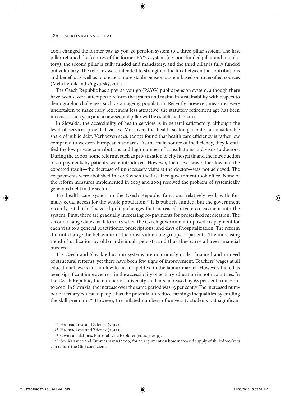2004 changed the former pay-as-you-go pension system to a three-pillar system. The first pillar retained the features of the former PAYG system (i.e. non-funded pillar and mandatory), the second pillar is fully funded and mandatory, and the third pillar is fully funded but voluntary. The reforms were intended to strengthen the link between the contributions and benefits as well as to create a more stable pension system based on diversified sources (Melicherčík and Ungvarský, 2004).

The Czech Republic has a pay-as-you-go (PAYG) public pension system, although there have been several attempts to reform the system and maintain sustainability with respect to demographic challenges such as an ageing population. Recently, however, measures were undertaken to make early retirement less attractive; the statutory retirement age has been increased each year; and a new second pillar will be established in 2013.

 In Slovakia, the accessibility of health services is in general satisfactory, although the level of services provided varies. Moreover, the health sector generates a considerable share of public debt. Verhoeven et al. (2007) found that health care efficiency is rather low compared to western European standards. As the main source of inefficiency, they identified the low private contributions and high number of consultations and visits to doctors. During the 2000s, some reforms, such as privatization of city hospitals and the introduction of co-payments by patients, were introduced. However, their level was rather low and the expected result—the decrease of unnecessary visits at the doctor—was not achieved. The co-payments were abolished in 2006 when the first Fico government took office. None of the reform measures implemented in 2003 and 2004 resolved the problem of systemically generated debt in the sector.

The health-care system in the Czech Republic functions relatively well, with formally equal access for the whole population. 37 It is publicly funded, but the government recently established several policy changes that increased private co-payment into the system. First, there are gradually increasing co-payments for prescribed medication. The second change dates back to 2008 when the Czech government imposed co-payment for each visit to a general practitioner, prescriptions, and days of hospitalization. The reform did not change the behaviour of the most vulnerable groups of patients. The increasing trend of utilization by older individuals persists, and thus they carry a larger financial burden.<sup>38</sup>

The Czech and Slovak education systems are notoriously under-financed and in need of structural reforms, yet there have been few signs of improvement. Teachers' wages at all educational levels are too low to be competitive in the labour market. However, there has been significant improvement in the accessibility of tertiary education in both countries. In the Czech Republic, the number of university students increased by 68 per cent from 2001 to 2010. In Slovakia, the increase over the same period was  $63$  per cent.<sup>39</sup> The increased number of tertiary educated people has the potential to reduce earnings inequalities by eroding the skill premium.<sup>40</sup> However, the inflated numbers of university students put significant

<sup>37</sup> Hromadkova and Zdenek (2012).

<sup>38</sup> Hromadkova and Zdenek (2012).

<sup>39</sup> Own calculations, Eurostat Data Explorer (educ\_itertp).

<sup>40</sup> See Kahanec and Zimmermann (2009) for an argument on how increased supply of skilled workers can reduce the Gini coefficient.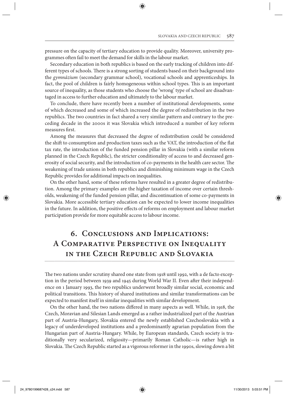pressure on the capacity of tertiary education to provide quality. Moreover, university programmes often fail to meet the demand for skills in the labour market.

 Secondary education in both republics is based on the early tracking of children into different types of schools. There is a strong sorting of students based on their background into the *gymnázium* (secondary grammar school), vocational schools and apprenticeships. In fact, the pool of children is fairly homogeneous within school types. This is an important source of inequality, as those students who choose the 'wrong' type of school are disadvantaged in access to further education and ultimately to the labour market.

 To conclude, there have recently been a number of institutional developments, some of which decreased and some of which increased the degree of redistribution in the two republics. The two countries in fact shared a very similar pattern and contrary to the preceding decade in the 2000s it was Slovakia which introduced a number of key reform measures first.

 Among the measures that decreased the degree of redistribution could be considered the shift to consumption and production taxes such as the VAT, the introduction of the flat tax rate, the introduction of the funded pension pillar in Slovakia (with a similar reform planned in the Czech Republic), the stricter conditionality of access to and decreased generosity of social security, and the introduction of co-payments in the health care sector. The weakening of trade unions in both republics and diminishing minimum wage in the Czech Republic provides for additional impacts on inequalities.

 On the other hand, some of these reforms have resulted in a greater degree of redistribution. Among the primary examples are the higher taxation of income over certain thresholds, weakening of the funded pension pillar, and discontinuation of some co-payments in Slovakia. More accessible tertiary education can be expected to lower income inequalities in the future. In addition, the positive effects of reforms on employment and labour market participation provide for more equitable access to labour income.

# **6. Conclusions and Implications: A Comparative Perspective on Inequality in the Czech Republic and Slovakia**

The two nations under scrutiny shared one state from 1918 until 1992, with a de facto exception in the period between 1939 and 1945 during World War II. Even after their independence on 1 January 1993, the two republics underwent broadly similar social, economic and political transitions. This history of shared institutions and similar transformations can be expected to manifest itself in similar inequalities with similar development.

On the other hand, the two nations differed in many aspects as well. While, in 1918, the Czech, Moravian and Silesian Lands emerged as a rather industrialized part of the Austrian part of Austria-Hungary, Slovakia entered the newly established Czechoslovakia with a legacy of underdeveloped institutions and a predominantly agrarian population from the Hungarian part of Austria-Hungary. While, by European standards, Czech society is traditionally very secularized, religiosity—primarily Roman Catholic—is rather high in Slovakia. The Czech Republic started as a vigorous reformer in the 1990s, slowing down a bit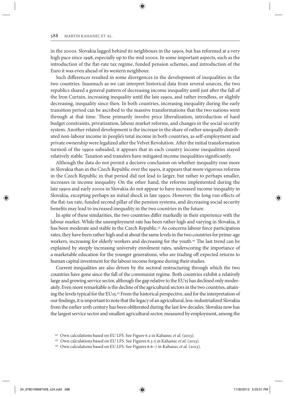in the 2000s. Slovakia lagged behind its neighbours in the 1990s, but has reformed at a very high pace since 1998, especially up to the mid 2000s. In some important aspects, such as the introduction of the flat-rate tax regime, funded pension schemes, and introduction of the Euro it was even ahead of its western neighbour.

Such differences resulted in some divergences in the development of inequalities in the two countries. Inasmuch as we can interpret historical data from several sources, the two republics shared a general pattern of decreasing income inequality until just after the fall of the Iron Curtain, increasing inequality until the late 1990s, and rather trendless, or slightly decreasing, inequality since then. In both countries, increasing inequality during the early transition period can be ascribed to the massive transformations that the two nations went through at that time. These primarily involve price liberalization, introduction of hard budget constraints, privatization, labour market reforms, and changes in the social security system. Another related development is the increase in the share of rather unequally distributed non-labour income in people's total income in both countries, as self-employment and private ownership were legalized after the Velvet Revolution. After the initial transformation turmoil of the 1990s subsided, it appears that in each country income inequalities stayed relatively stable. Taxation and transfers have mitigated income inequalities significantly.

 Although the data do not permit a decisive conclusion on whether inequality rose more in Slovakia than in the Czech Republic over the 1990s, it appears that more vigorous reforms in the Czech Republic in that period did not lead to larger, but rather to perhaps smaller, increases in income inequality. On the other hand, the reforms implemented during the late 1990s and early 2000s in Slovakia do not appear to have increased income inequality in Slovakia, excepting perhaps an initial shock in late 1990s. However, the long run effects of the flat-tax rate, funded second pillar of the pension systems, and decreasing social security benefits may lead to increased inequality in the two countries in the future.

In spite of these similarities, the two countries differ markedly in their experience with the labour market. While the unemployment rate has been rather high and varying in Slovakia, it has been moderate and stable in the Czech Republic.<sup>41</sup> As concerns labour force participation rates, they have been rather high and at about the same levels in the two countries for prime-age workers, increasing for elderly workers and decreasing for the youth.<sup>42</sup> The last trend can be explained by steeply increasing university enrolment rates, underscoring the importance of a marketable education for the younger generations, who are trading off expected returns to human capital investment for the labour income forgone during their studies.

 Current inequalities are also driven by the sectoral restructuring through which the two countries have gone since the fall of the communist regime. Both countries exhibit a relatively large and growing service sector, although the gap relative to the EU15 has declined only moderately. Even more remarkable is the decline of the agricultural sectors in the two countries, attaining the levels typical for the EU15. 43 From the historical perspective, and for the interpretation of our findings, it is important to note that the legacy of an agricultural, less-industrialized Slovakia from the earlier 20th century has been obliterated during the last few decades. Slovakia now has the largest service sector and smallest agricultural sector, measured by employment, among the

<sup>&</sup>lt;sup>41</sup> Own calculations based on EU LFS. See Figure 6.2 in Kahanec *et al.* (2013).<br><sup>42</sup> Own calculations based on EU LFS. See Figures 6.3-5 in Kahanec *et al.* (2013).<br><sup>43</sup> Own calculations based on EU LFS. See Figures 6.6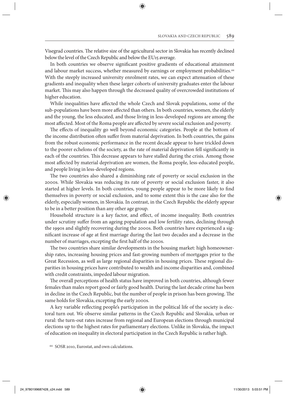Visegrad countries. The relative size of the agricultural sector in Slovakia has recently declined below the level of the Czech Republic and below the EU15 average.

In both countries we observe significant positive gradients of educational attainment and labour market success, whether measured by earnings or employment probabilities. 44 With the steeply increased university enrolment rates, we can expect attenuation of these gradients and inequality when these larger cohorts of university graduates enter the labour market. This may also happen through the decreased quality of overcrowded institutions of higher education.

While inequalities have affected the whole Czech and Slovak populations, some of the sub-populations have been more affected than others. In both countries, women, the elderly and the young, the less educated, and those living in less-developed regions are among the most affected. Most of the Roma people are affected by severe social exclusion and poverty.

The effects of inequality go well beyond economic categories. People at the bottom of the income distribution often suffer from material deprivation. In both countries, the gains from the robust economic performance in the recent decade appear to have trickled down to the poorer echelons of the society, as the rate of material deprivation fell significantly in each of the countries. This decrease appears to have stalled during the crisis. Among those most affected by material deprivation are women, the Roma people, less-educated people, and people living in less-developed regions.

The two countries also shared a diminishing rate of poverty or social exclusion in the 2000s. While Slovakia was reducing its rate of poverty or social exclusion faster, it also started at higher levels. In both countries, young people appear to be more likely to find themselves in poverty or social exclusion, and to some extent this is the case also for the elderly, especially women, in Slovakia. In contrast, in the Czech Republic the elderly appear to be in a better position than any other age group.

Household structure is a key factor, and effect, of income inequality. Both countries under scrutiny suffer from an ageing population and low fertility rates, declining through the 1990s and slightly recovering during the 2000s. Both countries have experienced a significant increase of age at first marriage during the last two decades and a decrease in the number of marriages, excepting the first half of the 2000s.

The two countries share similar developments in the housing market: high homeownership rates, increasing housing prices and fast-growing numbers of mortgages prior to the Great Recession, as well as large regional disparities in housing prices. These regional disparities in housing prices have contributed to wealth and income disparities and, combined with credit constraints, impeded labour migration.

The overall perceptions of health status have improved in both countries, although fewer females than males report good or fairly good health. During the last decade crime has been in decline in the Czech Republic, but the number of people in prison has been growing. The same holds for Slovakia, excepting the early 2000s.

A key variable reflecting people's participation in the political life of the society is electoral turn out. We observe similar patterns in the Czech Republic and Slovakia, urban or rural: the turn-out rates increase from regional and European elections through municipal elections up to the highest rates for parliamentary elections. Unlike in Slovakia, the impact of education on inequality in electoral participation in the Czech Republic is rather high.

<sup>44</sup> SOSR 2010, Eurostat, and own calculations.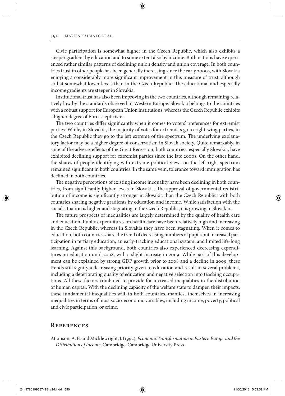Civic participation is somewhat higher in the Czech Republic, which also exhibits a steeper gradient by education and to some extent also by income. Both nations have experienced rather similar patterns of declining union density and union coverage. In both countries trust in other people has been generally increasing since the early 2000s, with Slovakia enjoying a considerably more significant improvement in this measure of trust, although still at somewhat lower levels than in the Czech Republic. The educational and especially income gradients are steeper in Slovakia.

 Institutional trust has also been improving in the two countries, although remaining relatively low by the standards observed in Western Europe. Slovakia belongs to the countries with a robust support for European Union institutions, whereas the Czech Republic exhibits a higher degree of Euro-scepticism.

The two countries differ significantly when it comes to voters' preferences for extremist parties. While, in Slovakia, the majority of votes for extremists go to right-wing parties, in the Czech Republic they go to the left extreme of the spectrum. The underlying explanatory factor may be a higher degree of conservatism in Slovak society. Quite remarkably, in spite of the adverse effects of the Great Recession, both countries, especially Slovakia, have exhibited declining support for extremist parties since the late 2000s. On the other hand, the shares of people identifying with extreme political views on the left -right spectrum remained significant in both countries. In the same vein, tolerance toward immigration has declined in both countries.

The negative perceptions of existing income inequality have been declining in both countries, from significantly higher levels in Slovakia. The approval of governmental redistribution of income is significantly stronger in Slovakia than the Czech Republic, with both countries sharing negative gradients by education and income. While satisfaction with the social situation is higher and stagnating in the Czech Republic, it is growing in Slovakia.

The future prospects of inequalities are largely determined by the quality of health care and education. Public expenditures on health care have been relatively high and increasing in the Czech Republic, whereas in Slovakia they have been stagnating. When it comes to education, both countries share the trend of decreasing numbers of pupils but increased participation in tertiary education, an early-tracking educational system, and limited life-long learning. Against this background, both countries also experienced decreasing expenditures on education until 2008, with a slight increase in 2009. While part of this development can be explained by strong GDP growth prior to 2008 and a decline in 2009, these trends still signify a decreasing priority given to education and result in several problems, including a deteriorating quality of education and negative selection into teaching occupations. All these factors combined to provide for increased inequalities in the distribution of human capital. With the declining capacity of the welfare state to dampen their impacts, these fundamental inequalities will, in both countries, manifest themselves in increasing inequalities in terms of most socio-economic variables, including income, poverty, political and civic participation, or crime.

#### **References**

 Atkinson , A. B. and Micklewright, J. ( 1992 ), *Economic Transformation in Eastern Europe and the Distribution of Income* , Cambridge : Cambridge University Press .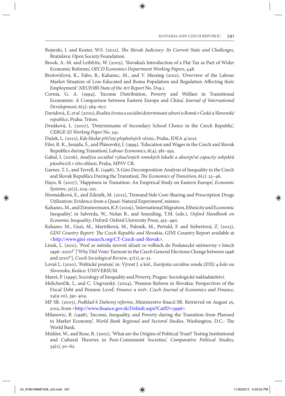- Bojarski, I. and Koster, W.S. (2012), *The Slovak Judiciary: Its Current State and Challenges*, Bratislava: Open Society Foundation.
- Brook , A.-M. and Leibfritz, W. ( 2005 ), 'Slovakia's Introduction of a Flat Tax as Part of Wider Economic Reforms', *OECD Economics Department Working Papers* , 448.
- Brožovičová, K., Fabo, B., Kahanec, M., and V. Messing (2012), 'Overview of the Labour Market Situation of Low-Educated and Roma Population and Regulation Affecting their Employment'. *NEUJOBS State of the Art Report No. D19.1.*
- Cornia, G. A. (1994), 'Income Distribution, Poverty and Welfare in Transitional Economies: A Comparison between Eastern Europe and China' . *Journal of International Development*, 6(5): 569-607.
- Davidová, E. *et al.* ( 2010 ), *Kvalita života a sociální determinant zdraví u Romů v České a Slovenské republice*, Praha: Triton.
- Drnáková , L. ( 2007 ), *'* Determinants of Secondary School Choice in the Czech Republic', *CERGE-EI Working Paper* No. 341.
- Dušek , L. ( 2012 ), *Kde hledat pří č iny přeplněných věznic* , Praha, IDEA 4/2012
- Filer , R. K. , Jurajda, Š., and Plánovský, J. ( 1999 ), ' Education and Wages in the Czech and Slovak Republics during Transition', *Labour Economics*, 6(4), 581-593.
- Gabal , I. ( 2006 ), *Analýza sociálně vylou č ených romských lokalit a absorp č ní capacity subjektů působících v této oblasti* , Praha, MPSV CR.
- Garner , T. I. , and Terrell, K. ( 1998 ), 'A Gini Decomposition Analysis of Inequality in the Czech and Slovak Republics During the Transition', *The Economics of Transition*, 6(1): 23–46.
- Hayo, B. (2007), 'Happiness in Transition: An Empirical Study on Eastern Europe', *Economic Systems*, 31(2), 204-221.
- Hromádková , E. , and Zdeněk, M. ( 2012 ), ' Demand Side Cost-Sharing and Prescription Drugs Utilization: Evidence from a Quasi-Natural Experiment', mimeo.
- Kahanec, M., and Zimmermann, K.F. (2009), 'International Migration, Ethnicity and Economic Inequality' , in Salverda , W. , Nolan B. , and Smeeding , T.M. (eds.), *Oxford Handbook on Economic Inequality*, Oxford: Oxford University Press, 455-490.
- Kahanec M., Guzi, M., Martišková, M., Paleník, M., Pertold, F. and Siebertová, Z. (2013), *GINI Country Report: The Czech Republic and Slovakia*, GINI Country Report available at <[http:// www.gini-research.org/CT-Czech-and-Slovak](http://www.gini-research.org/CT-Czech-and-Slovak)> .
- Linek, L. (2011), 'Proč se měnila úroveň účasti ve volbách do Poslanecké sněmovny v letech 1996–2010?' ['Why Did Voter Turnout in the Czech General Elections Change between 1996 and 2010?'], *Czech Sociological Review*, 47(1), 9-32.
- Lovaš L. ( 2010 ), ' Politické postoje' , in: Výrost J. a kol., *Európska sociálna sonda (ESS) 4.kolo na*   $Slovensku$ , Košice: UNIVERSUM.
- Mareš, P. (1999), Sociology of Inequality and Poverty, Prague: Sociologické nakladatelství.
- Melicherčík, I., and C. Ungvarský. (2004), 'Pension Reform in Slovakia: Perspectives of the Fiscal Debt and Pension Level', *Finance a úvěr* , *Czech Journal of Economics and Finance* ,  $24(9-10), 391-404.$
- MF SR. (2005), *Podklad k Daňovej reforme*, Ministerstvo finacií SR. Retrieved on August 25, 2012, from < [http://www.fi nance.gov.sk/Default.aspx?CatID=3996 >](http://www.finance.gov.sk/Default.aspx?CatID=3996)
- Milanovic, B. (1998), 'Income, Inequality, and Poverty during the Transition from Planned to Market Economy', *World Bank Regional and Sectoral Studies*, Washington, D.C.: The World Bank.
- Mishler, W., and Rose, R. (2001), 'What are the Origins of Political Trust? Testing Institutional and Cultural Theories in Post-Communist Societies,' *Comparative Political Studies*,  $34(1), 30-62.$